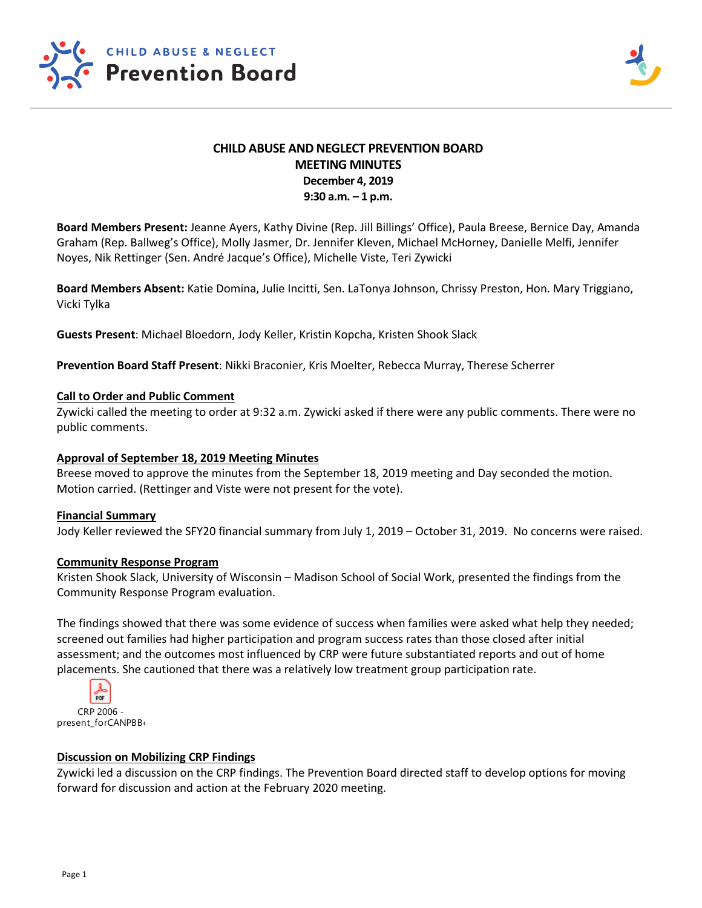

# **CHILD ABUSE AND NEGLECT PREVENTION BOARD MEETING MINUTES December 4, 2019 9:30 a.m. – 1 p.m.**

**Board Members Present:** Jeanne Ayers, Kathy Divine (Rep. Jill Billings' Office), Paula Breese, Bernice Day, Amanda Graham (Rep. Ballweg's Office), Molly Jasmer, Dr. Jennifer Kleven, Michael McHorney, Danielle Melfi, Jennifer Noyes, Nik Rettinger (Sen. André Jacque's Office), Michelle Viste, Teri Zywicki

**Board Members Absent:** Katie Domina, Julie Incitti, Sen. LaTonya Johnson, Chrissy Preston, Hon. Mary Triggiano, Vicki Tylka

**Guests Present**: Michael Bloedorn, Jody Keller, Kristin Kopcha, Kristen Shook Slack

**Prevention Board Staff Present**: Nikki Braconier, Kris Moelter, Rebecca Murray, Therese Scherrer

#### **Call to Order and Public Comment**

Zywicki called the meeting to order at 9:32 a.m. Zywicki asked if there were any public comments. There were no public comments.

#### **Approval of September 18, 2019 Meeting Minutes**

Breese moved to approve the minutes from the September 18, 2019 meeting and Day seconded the motion. Motion carried. (Rettinger and Viste were not present for the vote).

#### **Financial Summary**

Jody Keller reviewed the SFY20 financial summary from July 1, 2019 – October 31, 2019. No concerns were raised.

#### **Community Response Program**

Kristen Shook Slack, University of Wisconsin – Madison School of Social Work, presented the findings from the Community Response Program evaluation.

The findings showed that there was some evidence of success when families were asked what help they needed; screened out families had higher participation and program success rates than those closed after initial assessment; and the outcomes most influenced by CRP were future substantiated reports and out of home placements. She cautioned that there was a relatively low treatment group participation rate.



present\_forCANPBB<sub>(</sub>

## **Discussion on Mobilizing CRP Findings**

Zywicki led a discussion on the CRP findings. The Prevention Board directed staff to develop options for moving forward for discussion and action at the February 2020 meeting.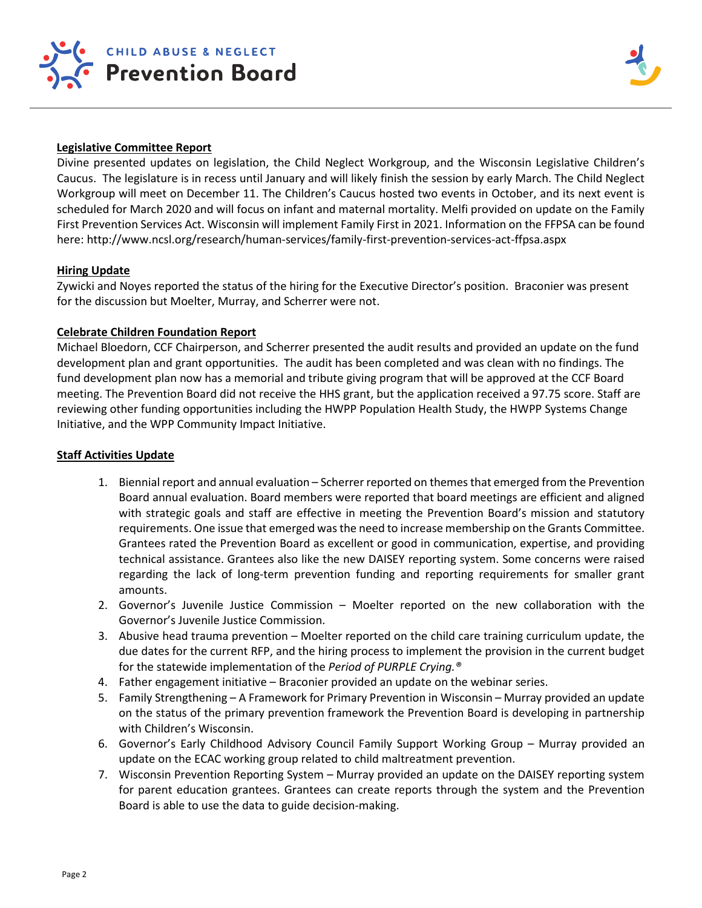

## **Legislative Committee Report**

Divine presented updates on legislation, the Child Neglect Workgroup, and the Wisconsin Legislative Children's Caucus. The legislature is in recess until January and will likely finish the session by early March. The Child Neglect Workgroup will meet on December 11. The Children's Caucus hosted two events in October, and its next event is scheduled for March 2020 and will focus on infant and maternal mortality. Melfi provided on update on the Family First Prevention Services Act. Wisconsin will implement Family First in 2021. Information on the FFPSA can be found here: http://www.ncsl.org/research/human-services/family-first-prevention-services-act-ffpsa.aspx

#### **Hiring Update**

Zywicki and Noyes reported the status of the hiring for the Executive Director's position. Braconier was present for the discussion but Moelter, Murray, and Scherrer were not.

#### **Celebrate Children Foundation Report**

Michael Bloedorn, CCF Chairperson, and Scherrer presented the audit results and provided an update on the fund development plan and grant opportunities. The audit has been completed and was clean with no findings. The fund development plan now has a memorial and tribute giving program that will be approved at the CCF Board meeting. The Prevention Board did not receive the HHS grant, but the application received a 97.75 score. Staff are reviewing other funding opportunities including the HWPP Population Health Study, the HWPP Systems Change Initiative, and the WPP Community Impact Initiative.

## **Staff Activities Update**

- 1. Biennial report and annual evaluation Scherrer reported on themes that emerged from the Prevention Board annual evaluation. Board members were reported that board meetings are efficient and aligned with strategic goals and staff are effective in meeting the Prevention Board's mission and statutory requirements. One issue that emerged was the need to increase membership on the Grants Committee. Grantees rated the Prevention Board as excellent or good in communication, expertise, and providing technical assistance. Grantees also like the new DAISEY reporting system. Some concerns were raised regarding the lack of long-term prevention funding and reporting requirements for smaller grant amounts.
- 2. Governor's Juvenile Justice Commission Moelter reported on the new collaboration with the Governor's Juvenile Justice Commission.
- 3. Abusive head trauma prevention Moelter reported on the child care training curriculum update, the due dates for the current RFP, and the hiring process to implement the provision in the current budget for the statewide implementation of the *Period of PURPLE Crying.®*
- 4. Father engagement initiative Braconier provided an update on the webinar series.
- 5. Family Strengthening A Framework for Primary Prevention in Wisconsin Murray provided an update on the status of the primary prevention framework the Prevention Board is developing in partnership with Children's Wisconsin.
- 6. Governor's Early Childhood Advisory Council Family Support Working Group Murray provided an update on the ECAC working group related to child maltreatment prevention.
- 7. Wisconsin Prevention Reporting System Murray provided an update on the DAISEY reporting system for parent education grantees. Grantees can create reports through the system and the Prevention Board is able to use the data to guide decision-making.